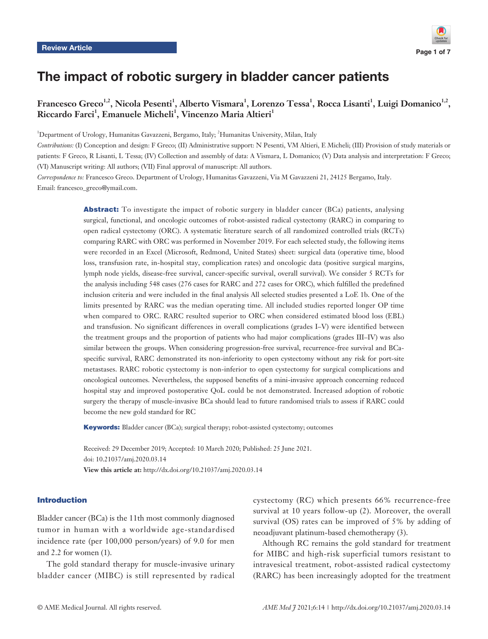# The impact of robotic surgery in bladder cancer patients

**Francesco Greco1,2, Nicola Pesenti1 , Alberto Vismara<sup>1</sup> , Lorenzo Tessa<sup>1</sup> , Rocca Lisanti<sup>1</sup> , Luigi Domanico1,2,**   $\rm Riccardo\, Farci^1$ , Emanuele Micheli<sup>1</sup>, Vincenzo Maria Altieri<sup>1</sup>

<sup>1</sup>Department of Urology, Humanitas Gavazzeni, Bergamo, Italy; <sup>2</sup>Humanitas University, Milan, Italy

*Contributions:* (I) Conception and design: F Greco; (II) Administrative support: N Pesenti, VM Altieri, E Micheli; (III) Provision of study materials or patients: F Greco, R Lisanti, L Tessa; (IV) Collection and assembly of data: A Vismara, L Domanico; (V) Data analysis and interpretation: F Greco; (VI) Manuscript writing: All authors; (VII) Final approval of manuscript: All authors.

*Correspondence to:* Francesco Greco. Department of Urology, Humanitas Gavazzeni, Via M Gavazzeni 21, 24125 Bergamo, Italy. Email: francesco\_greco@ymail.com.

> Abstract: To investigate the impact of robotic surgery in bladder cancer (BCa) patients, analysing surgical, functional, and oncologic outcomes of robot-assisted radical cystectomy (RARC) in comparing to open radical cystectomy (ORC). A systematic literature search of all randomized controlled trials (RCTs) comparing RARC with ORC was performed in November 2019. For each selected study, the following items were recorded in an Excel (Microsoft, Redmond, United States) sheet: surgical data (operative time, blood loss, transfusion rate, in-hospital stay, complication rates) and oncologic data (positive surgical margins, lymph node yields, disease-free survival, cancer-specific survival, overall survival). We consider 5 RCTs for the analysis including 548 cases (276 cases for RARC and 272 cases for ORC), which fulfilled the predefined inclusion criteria and were included in the final analysis All selected studies presented a LoE 1b. One of the limits presented by RARC was the median operating time. All included studies reported longer OP time when compared to ORC. RARC resulted superior to ORC when considered estimated blood loss (EBL) and transfusion. No significant differences in overall complications (grades I–V) were identified between the treatment groups and the proportion of patients who had major complications (grades III–IV) was also similar between the groups. When considering progression-free survival, recurrence-free survival and BCaspecific survival, RARC demonstrated its non-inferiority to open cystectomy without any risk for port-site metastases. RARC robotic cystectomy is non-inferior to open cystectomy for surgical complications and oncological outcomes. Nevertheless, the supposed benefits of a mini-invasive approach concerning reduced hospital stay and improved postoperative QoL could be not demonstrated. Increased adoption of robotic surgery the therapy of muscle-invasive BCa should lead to future randomised trials to assess if RARC could become the new gold standard for RC

Keywords: Bladder cancer (BCa); surgical therapy; robot-assisted cystectomy; outcomes

Received: 29 December 2019; Accepted: 10 March 2020; Published: 25 June 2021. doi: 10.21037/amj.2020.03.14 **View this article at:** http://dx.doi.org/10.21037/amj.2020.03.14

#### Introduction

Bladder cancer (BCa) is the 11th most commonly diagnosed tumor in human with a worldwide age-standardised incidence rate (per 100,000 person/years) of 9.0 for men and 2.2 for women (1).

The gold standard therapy for muscle-invasive urinary bladder cancer (MIBC) is still represented by radical

cystectomy (RC) which presents 66% recurrence-free survival at 10 years follow-up (2). Moreover, the overall survival (OS) rates can be improved of 5% by adding of neoadjuvant platinum-based chemotherapy (3).

Although RC remains the gold standard for treatment for MIBC and high-risk superficial tumors resistant to intravesical treatment, robot-assisted radical cystectomy (RARC) has been increasingly adopted for the treatment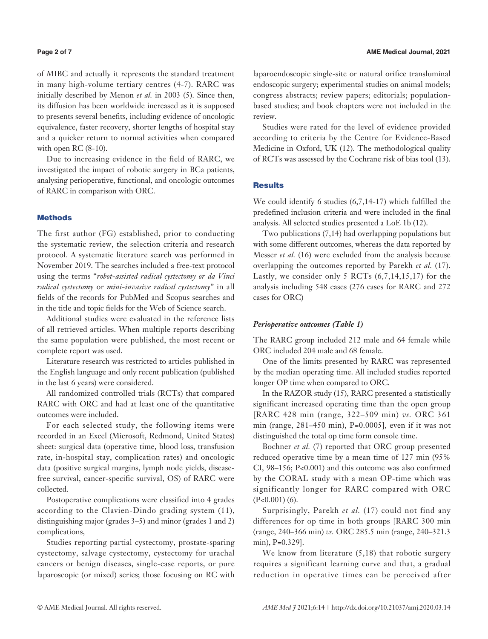of MIBC and actually it represents the standard treatment in many high-volume tertiary centres (4-7). RARC was initially described by Menon *et al.* in 2003 (5). Since then, its diffusion has been worldwide increased as it is supposed to presents several benefits, including evidence of oncologic equivalence, faster recovery, shorter lengths of hospital stay and a quicker return to normal activities when compared with open RC (8-10).

Due to increasing evidence in the field of RARC, we investigated the impact of robotic surgery in BCa patients, analysing perioperative, functional, and oncologic outcomes of RARC in comparison with ORC.

# **Methods**

The first author (FG) established, prior to conducting the systematic review, the selection criteria and research protocol. A systematic literature search was performed in November 2019. The searches included a free-text protocol using the terms "*robot-assisted radical cystectomy or da Vinci radical cystectomy* or *mini-invasive radical cystectomy*" in all fields of the records for PubMed and Scopus searches and in the title and topic fields for the Web of Science search.

Additional studies were evaluated in the reference lists of all retrieved articles. When multiple reports describing the same population were published, the most recent or complete report was used.

Literature research was restricted to articles published in the English language and only recent publication (published in the last 6 years) were considered.

All randomized controlled trials (RCTs) that compared RARC with ORC and had at least one of the quantitative outcomes were included.

For each selected study, the following items were recorded in an Excel (Microsoft, Redmond, United States) sheet: surgical data (operative time, blood loss, transfusion rate, in-hospital stay, complication rates) and oncologic data (positive surgical margins, lymph node yields, diseasefree survival, cancer-specific survival, OS) of RARC were collected.

Postoperative complications were classified into 4 grades according to the Clavien-Dindo grading system (11), distinguishing major (grades 3–5) and minor (grades 1 and 2) complications,

Studies reporting partial cystectomy, prostate-sparing cystectomy, salvage cystectomy, cystectomy for urachal cancers or benign diseases, single-case reports, or pure laparoscopic (or mixed) series; those focusing on RC with laparoendoscopic single-site or natural orifice transluminal endoscopic surgery; experimental studies on animal models; congress abstracts; review papers; editorials; populationbased studies; and book chapters were not included in the review.

Studies were rated for the level of evidence provided according to criteria by the Centre for Evidence-Based Medicine in Oxford, UK (12). The methodological quality of RCTs was assessed by the Cochrane risk of bias tool (13).

### Results

We could identify 6 studies (6,7,14-17) which fulfilled the predefined inclusion criteria and were included in the final analysis. All selected studies presented a LoE 1b (12).

Two publications (7,14) had overlapping populations but with some different outcomes, whereas the data reported by Messer *et al.* (16) were excluded from the analysis because overlapping the outcomes reported by Parekh *et al.* (17). Lastly, we consider only 5 RCTs  $(6,7,14,15,17)$  for the analysis including 548 cases (276 cases for RARC and 272 cases for ORC)

### *Perioperative outcomes (Table 1)*

The RARC group included 212 male and 64 female while ORC included 204 male and 68 female.

One of the limits presented by RARC was represented by the median operating time. All included studies reported longer OP time when compared to ORC.

In the RAZOR study (15), RARC presented a statistically significant increased operating time than the open group [RARC 428 min (range, 322–509 min) *vs.* ORC 361 min (range, 281–450 min), P=0.0005], even if it was not distinguished the total op time form console time.

Bochner *et al.* (7) reported that ORC group presented reduced operative time by a mean time of 127 min (95% CI, 98–156; P<0.001) and this outcome was also confirmed by the CORAL study with a mean OP-time which was significantly longer for RARC compared with ORC (P<0.001) (6).

Surprisingly, Parekh *et al.* (17) could not find any differences for op time in both groups [RARC 300 min (range, 240–366 min) *vs.* ORC 285.5 min (range, 240–321.3 min), P=0.329].

We know from literature  $(5,18)$  that robotic surgery requires a significant learning curve and that, a gradual reduction in operative times can be perceived after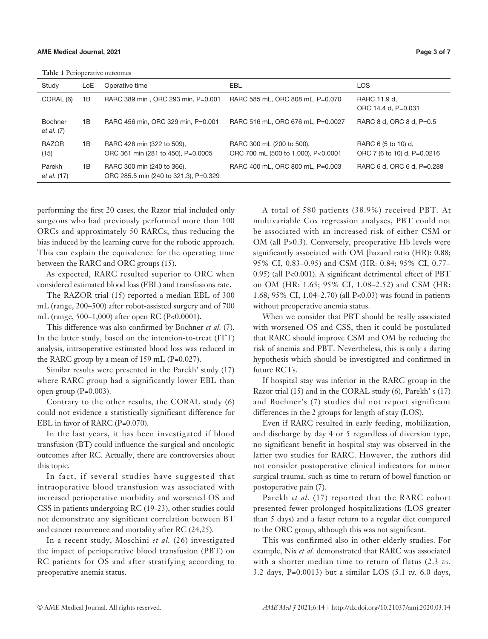**Table 1** Perioperative outcomes

| Study                          | LoE | Operative time                                                      | EBL                                                              | <b>LOS</b>                                         |  |  |  |  |  |
|--------------------------------|-----|---------------------------------------------------------------------|------------------------------------------------------------------|----------------------------------------------------|--|--|--|--|--|
| CORAL (6)                      | 1B  | RARC 389 min, ORC 293 min, P=0.001                                  | RARC 585 mL, ORC 808 mL, P=0.070                                 | RARC 11.9 d.<br>ORC 14.4 d, P=0.031                |  |  |  |  |  |
| <b>Bochner</b><br>et al. $(7)$ | 1B  | RARC 456 min, ORC 329 min, P=0.001                                  | RARC 516 mL, ORC 676 mL, P=0.0027                                | RARC 8 d. ORC 8 d. P=0.5                           |  |  |  |  |  |
| <b>RAZOR</b><br>(15)           | 1B  | RARC 428 min (322 to 509),<br>ORC 361 min (281 to 450), P=0.0005    | RARC 300 mL (200 to 500),<br>ORC 700 mL (500 to 1,000), P<0.0001 | RARC 6 (5 to 10) d.<br>ORC 7 (6 to 10) d, P=0.0216 |  |  |  |  |  |
| Parekh<br>et al. (17)          | 1B  | RARC 300 min (240 to 366),<br>ORC 285.5 min (240 to 321.3), P=0.329 | RARC 400 mL, ORC 800 mL, P=0.003                                 | RARC 6 d, ORC 6 d, P=0.288                         |  |  |  |  |  |

performing the first 20 cases; the Razor trial included only surgeons who had previously performed more than 100 ORCs and approximately 50 RARCs, thus reducing the bias induced by the learning curve for the robotic approach. This can explain the equivalence for the operating time between the RARC and ORC groups (15).

As expected, RARC resulted superior to ORC when considered estimated blood loss (EBL) and transfusions rate.

The RAZOR trial (15) reported a median EBL of 300 mL (range, 200–500) after robot-assisted surgery and of 700 mL (range, 500–1,000) after open RC (P<0.0001).

This difference was also confirmed by Bochner *et al.* (7). In the latter study, based on the intention-to-treat (ITT) analysis, intraoperative estimated blood loss was reduced in the RARC group by a mean of 159 mL (P=0.027).

Similar results were presented in the Parekh' study (17) where RARC group had a significantly lower EBL than open group  $(P=0.003)$ .

Contrary to the other results, the CORAL study (6) could not evidence a statistically significant difference for EBL in favor of RARC (P=0.070).

In the last years, it has been investigated if blood transfusion (BT) could influence the surgical and oncologic outcomes after RC. Actually, there are controversies about this topic.

In fact, if several studies have suggested that intraoperative blood transfusion was associated with increased perioperative morbidity and worsened OS and CSS in patients undergoing RC (19-23), other studies could not demonstrate any significant correlation between BT and cancer recurrence and mortality after RC (24,25).

In a recent study, Moschini *et al.* (26) investigated the impact of perioperative blood transfusion (PBT) on RC patients for OS and after stratifying according to preoperative anemia status.

A total of 580 patients (38.9%) received PBT. At multivariable Cox regression analyses, PBT could not be associated with an increased risk of either CSM or OM (all P>0.3). Conversely, preoperative Hb levels were significantly associated with OM [hazard ratio (HR): 0.88; 95% CI, 0.83–0.95) and CSM (HR: 0.84; 95% CI, 0.77– 0.95) (all P<0.001). A significant detrimental effect of PBT on OM (HR: 1.65; 95% CI, 1.08–2.52) and CSM (HR: 1.68; 95% CI, 1.04–2.70) (all P<0.03) was found in patients without preoperative anemia status.

When we consider that PBT should be really associated with worsened OS and CSS, then it could be postulated that RARC should improve CSM and OM by reducing the risk of anemia and PBT. Nevertheless, this is only a daring hypothesis which should be investigated and confirmed in future RCTs.

If hospital stay was inferior in the RARC group in the Razor trial (15) and in the CORAL study (6), Parekh' s (17) and Bochner's (7) studies did not report significant differences in the 2 groups for length of stay (LOS).

Even if RARC resulted in early feeding, mobilization, and discharge by day 4 or 5 regardless of diversion type, no significant benefit in hospital stay was observed in the latter two studies for RARC. However, the authors did not consider postoperative clinical indicators for minor surgical trauma, such as time to return of bowel function or postoperative pain (7).

Parekh *et al.* (17) reported that the RARC cohort presented fewer prolonged hospitalizations (LOS greater than 5 days) and a faster return to a regular diet compared to the ORC group, although this was not significant.

This was confirmed also in other elderly studies. For example, Nix *et al.* demonstrated that RARC was associated with a shorter median time to return of flatus (2.3 *vs.* 3.2 days, P=0.0013) but a similar LOS (5.1 *vs.* 6.0 days,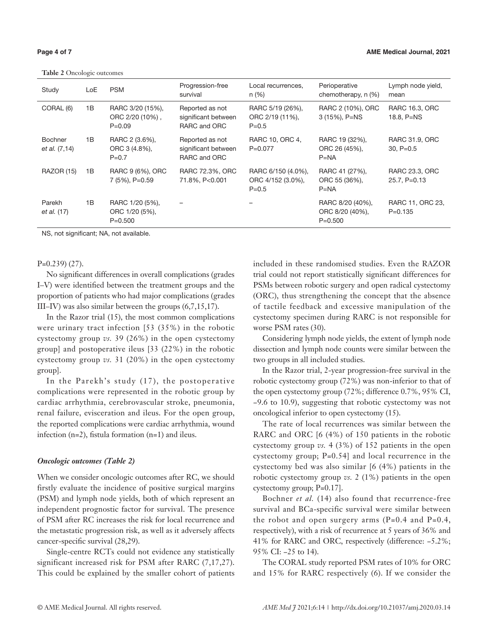**Table 2** Oncologic outcomes

| Study                           | LoE | <b>PSM</b>                                        | Progression-free<br>survival                           | Local recurrences,<br>n(%)                           | Perioperative<br>chemotherapy, n (%)               | Lymph node yield,<br>mean       |
|---------------------------------|-----|---------------------------------------------------|--------------------------------------------------------|------------------------------------------------------|----------------------------------------------------|---------------------------------|
| CORAL (6)                       | 1B  | RARC 3/20 (15%),<br>ORC 2/20 (10%),<br>$P = 0.09$ | Reported as not<br>significant between<br>RARC and ORC | RARC 5/19 (26%),<br>ORC 2/19 (11%),<br>$P = 0.5$     | RARC 2 (10%), ORC<br>3 (15%), P=NS                 | RARC 16.3, ORC<br>18.8, $P=NS$  |
| <b>Bochner</b><br>et al. (7,14) | 1B  | RARC 2 (3.6%),<br>ORC 3 (4.8%),<br>$P = 0.7$      | Reported as not<br>significant between<br>RARC and ORC | RARC 10, ORC 4,<br>$P = 0.077$                       | RARC 19 (32%),<br>ORC 26 (45%),<br>$P=NA$          | RARC 31.9, ORC<br>$30, P=0.5$   |
| <b>RAZOR (15)</b>               | 1B  | RARC 9 (6%), ORC<br>7 (5%), P=0.59                | RARC 72.3%, ORC<br>71.8%, P<0.001                      | RARC 6/150 (4.0%),<br>ORC 4/152 (3.0%),<br>$P = 0.5$ | RARC 41 (27%),<br>ORC 55 (36%).<br>$P=NA$          | RARC 23.3, ORC<br>25.7, P=0.13  |
| Parekh<br>et al. (17)           | 1B  | RARC 1/20 (5%),<br>ORC 1/20 (5%),<br>$P = 0.500$  |                                                        |                                                      | RARC 8/20 (40%),<br>ORC 8/20 (40%),<br>$P = 0.500$ | RARC 11, ORC 23,<br>$P = 0.135$ |

NS, not significant; NA, not available.

P=0.239) (27).

No significant differences in overall complications (grades I–V) were identified between the treatment groups and the proportion of patients who had major complications (grades III–IV) was also similar between the groups (6,7,15,17).

In the Razor trial (15), the most common complications were urinary tract infection [53 (35%) in the robotic cystectomy group *vs.* 39 (26%) in the open cystectomy group] and postoperative ileus [33 (22%) in the robotic cystectomy group *vs.* 31 (20%) in the open cystectomy group].

In the Parekh's study (17), the postoperative complications were represented in the robotic group by cardiac arrhythmia, cerebrovascular stroke, pneumonia, renal failure, evisceration and ileus. For the open group, the reported complications were cardiac arrhythmia, wound infection (n=2), fistula formation (n=1) and ileus.

#### *Oncologic outcomes (Table 2)*

When we consider oncologic outcomes after RC, we should firstly evaluate the incidence of positive surgical margins (PSM) and lymph node yields, both of which represent an independent prognostic factor for survival. The presence of PSM after RC increases the risk for local recurrence and the metastatic progression risk, as well as it adversely affects cancer-specific survival (28,29).

Single-centre RCTs could not evidence any statistically significant increased risk for PSM after RARC (7,17,27). This could be explained by the smaller cohort of patients

included in these randomised studies. Even the RAZOR trial could not report statistically significant differences for PSMs between robotic surgery and open radical cystectomy (ORC), thus strengthening the concept that the absence of tactile feedback and excessive manipulation of the cystectomy specimen during RARC is not responsible for worse PSM rates (30).

Considering lymph node yields, the extent of lymph node dissection and lymph node counts were similar between the two groups in all included studies.

In the Razor trial, 2-year progression-free survival in the robotic cystectomy group (72%) was non-inferior to that of the open cystectomy group (72%; difference 0.7%, 95% CI, −9.6 to 10.9), suggesting that robotic cystectomy was not oncological inferior to open cystectomy (15).

The rate of local recurrences was similar between the RARC and ORC [6 (4%) of 150 patients in the robotic cystectomy group *vs.* 4 (3%) of 152 patients in the open cystectomy group; P=0.54] and local recurrence in the cystectomy bed was also similar [6 (4%) patients in the robotic cystectomy group *vs.* 2 (1%) patients in the open cystectomy group; P=0.17].

Bochner *et al.* (14) also found that recurrence-free survival and BCa-specific survival were similar between the robot and open surgery arms  $(P=0.4$  and  $P=0.4$ , respectively), with a risk of recurrence at 5 years of 36% and 41% for RARC and ORC, respectively (difference: −5.2%; 95% CI: −25 to 14).

The CORAL study reported PSM rates of 10% for ORC and 15% for RARC respectively (6). If we consider the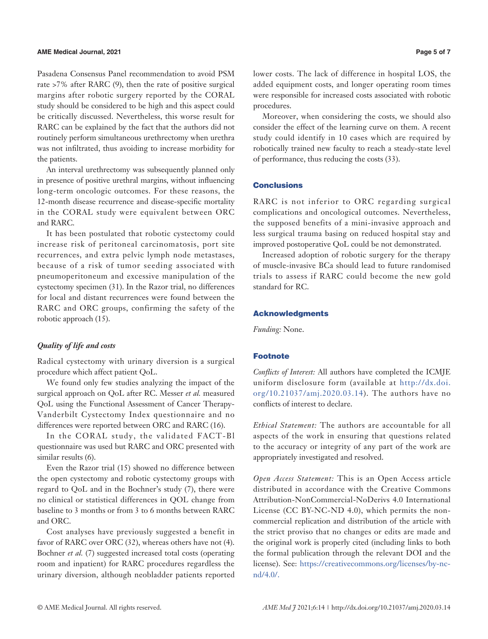Pasadena Consensus Panel recommendation to avoid PSM rate >7% after RARC (9), then the rate of positive surgical margins after robotic surgery reported by the CORAL study should be considered to be high and this aspect could be critically discussed. Nevertheless, this worse result for RARC can be explained by the fact that the authors did not routinely perform simultaneous urethrectomy when urethra was not infiltrated, thus avoiding to increase morbidity for the patients.

An interval urethrectomy was subsequently planned only in presence of positive urethral margins, without influencing long-term oncologic outcomes. For these reasons, the 12-month disease recurrence and disease-specific mortality in the CORAL study were equivalent between ORC and RARC.

It has been postulated that robotic cystectomy could increase risk of peritoneal carcinomatosis, port site recurrences, and extra pelvic lymph node metastases, because of a risk of tumor seeding associated with pneumoperitoneum and excessive manipulation of the cystectomy specimen (31). In the Razor trial, no differences for local and distant recurrences were found between the RARC and ORC groups, confirming the safety of the robotic approach (15).

## *Quality of life and costs*

Radical cystectomy with urinary diversion is a surgical procedure which affect patient QoL.

We found only few studies analyzing the impact of the surgical approach on QoL after RC. Messer *et al.* measured QoL using the Functional Assessment of Cancer Therapy-Vanderbilt Cystectomy Index questionnaire and no differences were reported between ORC and RARC (16).

In the CORAL study, the validated FACT-Bl questionnaire was used but RARC and ORC presented with similar results (6).

Even the Razor trial (15) showed no difference between the open cystectomy and robotic cystectomy groups with regard to QoL and in the Bochner's study (7), there were no clinical or statistical differences in QOL change from baseline to 3 months or from 3 to 6 months between RARC and ORC.

Cost analyses have previously suggested a benefit in favor of RARC over ORC (32), whereas others have not (4). Bochner *et al.* (7) suggested increased total costs (operating room and inpatient) for RARC procedures regardless the urinary diversion, although neobladder patients reported

lower costs. The lack of difference in hospital LOS, the added equipment costs, and longer operating room times were responsible for increased costs associated with robotic procedures.

Moreover, when considering the costs, we should also consider the effect of the learning curve on them. A recent study could identify in 10 cases which are required by robotically trained new faculty to reach a steady-state level of performance, thus reducing the costs (33).

#### **Conclusions**

RARC is not inferior to ORC regarding surgical complications and oncological outcomes. Nevertheless, the supposed benefits of a mini-invasive approach and less surgical trauma basing on reduced hospital stay and improved postoperative QoL could be not demonstrated.

Increased adoption of robotic surgery for the therapy of muscle-invasive BCa should lead to future randomised trials to assess if RARC could become the new gold standard for RC.

#### Acknowledgments

*Funding:* None.

# Footnote

*Conflicts of Interest:* All authors have completed the ICMJE uniform disclosure form (available at http://dx.doi. org/10.21037/amj.2020.03.14). The authors have no conflicts of interest to declare.

*Ethical Statement:* The authors are accountable for all aspects of the work in ensuring that questions related to the accuracy or integrity of any part of the work are appropriately investigated and resolved.

*Open Access Statement:* This is an Open Access article distributed in accordance with the Creative Commons Attribution-NonCommercial-NoDerivs 4.0 International License (CC BY-NC-ND 4.0), which permits the noncommercial replication and distribution of the article with the strict proviso that no changes or edits are made and the original work is properly cited (including links to both the formal publication through the relevant DOI and the license). See: [https://creativecommons.org/licenses/by-nc](https://creativecommons.org/licenses/by-nc-nd/4.0/)[nd/4.0/.](https://creativecommons.org/licenses/by-nc-nd/4.0/)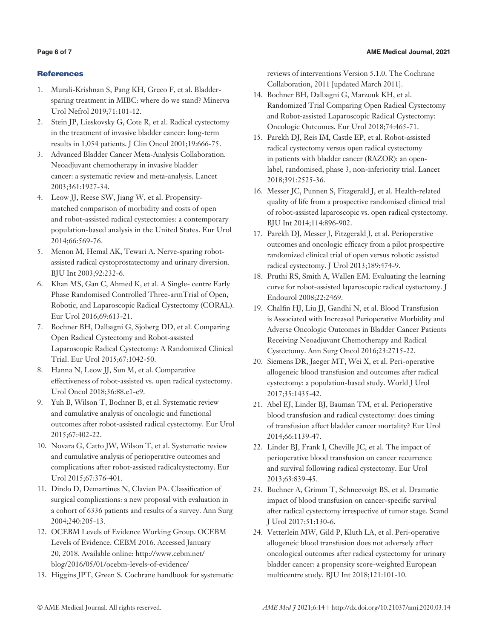# **References**

- 1. Murali-Krishnan S, Pang KH, Greco F, et al. Bladdersparing treatment in MIBC: where do we stand? Minerva Urol Nefrol 2019;71:101-12.
- 2. Stein JP, Lieskovsky G, Cote R, et al. Radical cystectomy in the treatment of invasive bladder cancer: long-term results in 1,054 patients. J Clin Oncol 2001;19:666-75.
- 3. Advanced Bladder Cancer Meta-Analysis Collaboration. Neoadjuvant chemotherapy in invasive bladder cancer: a systematic review and meta-analysis. Lancet 2003;361:1927-34.
- 4. Leow JJ, Reese SW, Jiang W, et al. Propensitymatched comparison of morbidity and costs of open and robot-assisted radical cystectomies: a contemporary population-based analysis in the United States. Eur Urol 2014;66:569-76.
- 5. Menon M, Hemal AK, Tewari A. Nerve-sparing robotassisted radical cystoprostatectomy and urinary diversion. BJU Int 2003;92:232-6.
- 6. Khan MS, Gan C, Ahmed K, et al. A Single- centre Early Phase Randomised Controlled Three-armTrial of Open, Robotic, and Laparoscopic Radical Cystectomy (CORAL). Eur Urol 2016;69:613-21.
- 7. Bochner BH, Dalbagni G, Sjoberg DD, et al. Comparing Open Radical Cystectomy and Robot-assisted Laparoscopic Radical Cystectomy: A Randomized Clinical Trial. Eur Urol 2015;67:1042-50.
- 8. Hanna N, Leow JJ, Sun M, et al. Comparative effectiveness of robot-assisted vs. open radical cystectomy. Urol Oncol 2018;36:88.e1-e9.
- 9. Yuh B, Wilson T, Bochner B, et al. Systematic review and cumulative analysis of oncologic and functional outcomes after robot-assisted radical cystectomy. Eur Urol 2015;67:402-22.
- 10. Novara G, Catto JW, Wilson T, et al. Systematic review and cumulative analysis of perioperative outcomes and complications after robot-assisted radicalcystectomy. Eur Urol 2015;67:376-401.
- 11. Dindo D, Demartines N, Clavien PA. Classification of surgical complications: a new proposal with evaluation in a cohort of 6336 patients and results of a survey. Ann Surg 2004;240:205-13.
- 12. OCEBM Levels of Evidence Working Group. OCEBM Levels of Evidence. CEBM 2016. Accessed January 20, 2018. Available online: http://www.cebm.net/ blog/2016/05/01/ocebm-levels-of-evidence/
- 13. Higgins JPT, Green S. Cochrane handbook for systematic

reviews of interventions Version 5.1.0. The Cochrane Collaboration, 2011 [updated March 2011].

- 14. Bochner BH, Dalbagni G, Marzouk KH, et al. Randomized Trial Comparing Open Radical Cystectomy and Robot-assisted Laparoscopic Radical Cystectomy: Oncologic Outcomes. Eur Urol 2018;74:465-71.
- 15. Parekh DJ, Reis IM, Castle EP, et al. Robot-assisted radical cystectomy versus open radical cystectomy in patients with bladder cancer (RAZOR): an openlabel, randomised, phase 3, non-inferiority trial. Lancet 2018;391:2525-36.
- 16. Messer JC, Punnen S, Fitzgerald J, et al. Health-related quality of life from a prospective randomised clinical trial of robot-assisted laparoscopic vs. open radical cystectomy. BJU Int 2014;114:896-902.
- 17. Parekh DJ, Messer J, Fitzgerald J, et al. Perioperative outcomes and oncologic efficacy from a pilot prospective randomized clinical trial of open versus robotic assisted radical cystectomy. J Urol 2013;189:474-9.
- 18. Pruthi RS, Smith A, Wallen EM. Evaluating the learning curve for robot-assisted laparoscopic radical cystectomy. J Endourol 2008;22:2469.
- 19. Chalfin HJ, Liu JJ, Gandhi N, et al. Blood Transfusion is Associated with Increased Perioperative Morbidity and Adverse Oncologic Outcomes in Bladder Cancer Patients Receiving Neoadjuvant Chemotherapy and Radical Cystectomy. Ann Surg Oncol 2016;23:2715-22.
- 20. Siemens DR, Jaeger MT, Wei X, et al. Peri-operative allogeneic blood transfusion and outcomes after radical cystectomy: a population-based study. World J Urol 2017;35:1435-42.
- 21. Abel EJ, Linder BJ, Bauman TM, et al. Perioperative blood transfusion and radical cystectomy: does timing of transfusion affect bladder cancer mortality? Eur Urol 2014;66:1139-47.
- 22. Linder BJ, Frank I, Cheville JC, et al. The impact of perioperative blood transfusion on cancer recurrence and survival following radical cystectomy. Eur Urol 2013;63:839-45.
- 23. Buchner A, Grimm T, Schneevoigt BS, et al. Dramatic impact of blood transfusion on cancer-specific survival after radical cystectomy irrespective of tumor stage. Scand J Urol 2017;51:130-6.
- 24. Vetterlein MW, Gild P, Kluth LA, et al. Peri-operative allogeneic blood transfusion does not adversely affect oncological outcomes after radical cystectomy for urinary bladder cancer: a propensity score-weighted European multicentre study. BJU Int 2018;121:101-10.